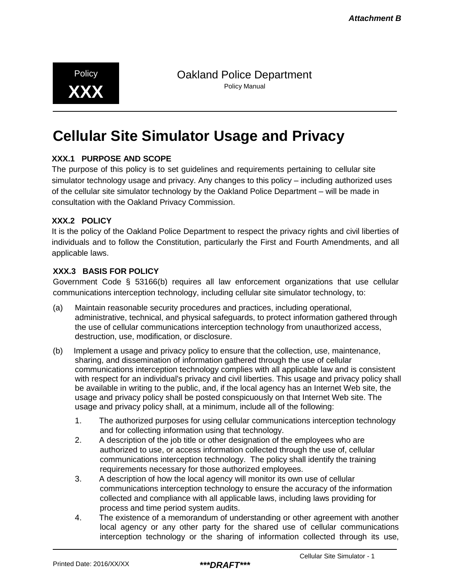**XXX** Policy Manual

Policy **Dakland Police Department** 

# **Cellular Site Simulator Usage and Privacy**

### **XXX.1 PURPOSE AND SCOPE**

The purpose of this policy is to set guidelines and requirements pertaining to cellular site simulator technology usage and privacy. Any changes to this policy – including authorized uses of the cellular site simulator technology by the Oakland Police Department – will be made in consultation with the Oakland Privacy Commission.

#### **XXX.2 POLICY**

It is the policy of the Oakland Police Department to respect the privacy rights and civil liberties of individuals and to follow the Constitution, particularly the First and Fourth Amendments, and all applicable laws.

#### **XXX.3 BASIS FOR POLICY**

Government Code § 53166(b) requires all law enforcement organizations that use cellular communications interception technology, including cellular site simulator technology, to:

- (a) Maintain reasonable security procedures and practices, including operational, administrative, technical, and physical safeguards, to protect information gathered through the use of cellular communications interception technology from unauthorized access, destruction, use, modification, or disclosure.
- (b) Implement a usage and privacy policy to ensure that the collection, use, maintenance, sharing, and dissemination of information gathered through the use of cellular communications interception technology complies with all applicable law and is consistent with respect for an individual's privacy and civil liberties. This usage and privacy policy shall be available in writing to the public, and, if the local agency has an Internet Web site, the usage and privacy policy shall be posted conspicuously on that Internet Web site. The usage and privacy policy shall, at a minimum, include all of the following:
	- 1. The authorized purposes for using cellular communications interception technology and for collecting information using that technology.
	- 2. A description of the job title or other designation of the employees who are authorized to use, or access information collected through the use of, cellular communications interception technology. The policy shall identify the training requirements necessary for those authorized employees.
	- 3. A description of how the local agency will monitor its own use of cellular communications interception technology to ensure the accuracy of the information collected and compliance with all applicable laws, including laws providing for process and time period system audits.
	- 4. The existence of a memorandum of understanding or other agreement with another local agency or any other party for the shared use of cellular communications interception technology or the sharing of information collected through its use,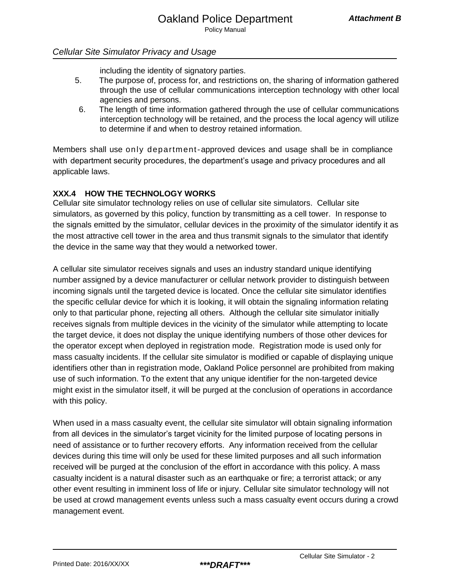including the identity of signatory parties.

- 5. The purpose of, process for, and restrictions on, the sharing of information gathered through the use of cellular communications interception technology with other local agencies and persons.
- 6. The length of time information gathered through the use of cellular communications interception technology will be retained, and the process the local agency will utilize to determine if and when to destroy retained information.

Members shall use only department-approved devices and usage shall be in compliance with department security procedures, the department's usage and privacy procedures and all applicable laws.

# **XXX.4 HOW THE TECHNOLOGY WORKS**

Cellular site simulator technology relies on use of cellular site simulators. Cellular site simulators, as governed by this policy, function by transmitting as a cell tower. In response to the signals emitted by the simulator, cellular devices in the proximity of the simulator identify it as the most attractive cell tower in the area and thus transmit signals to the simulator that identify the device in the same way that they would a networked tower.

A cellular site simulator receives signals and uses an industry standard unique identifying number assigned by a device manufacturer or cellular network provider to distinguish between incoming signals until the targeted device is located. Once the cellular site simulator identifies the specific cellular device for which it is looking, it will obtain the signaling information relating only to that particular phone, rejecting all others. Although the cellular site simulator initially receives signals from multiple devices in the vicinity of the simulator while attempting to locate the target device, it does not display the unique identifying numbers of those other devices for the operator except when deployed in registration mode. Registration mode is used only for mass casualty incidents. If the cellular site simulator is modified or capable of displaying unique identifiers other than in registration mode, Oakland Police personnel are prohibited from making use of such information. To the extent that any unique identifier for the non-targeted device might exist in the simulator itself, it will be purged at the conclusion of operations in accordance with this policy.

When used in a mass casualty event, the cellular site simulator will obtain signaling information from all devices in the simulator's target vicinity for the limited purpose of locating persons in need of assistance or to further recovery efforts. Any information received from the cellular devices during this time will only be used for these limited purposes and all such information received will be purged at the conclusion of the effort in accordance with this policy. A mass casualty incident is a natural disaster such as an earthquake or fire; a terrorist attack; or any other event resulting in imminent loss of life or injury. Cellular site simulator technology will not be used at crowd management events unless such a mass casualty event occurs during a crowd management event.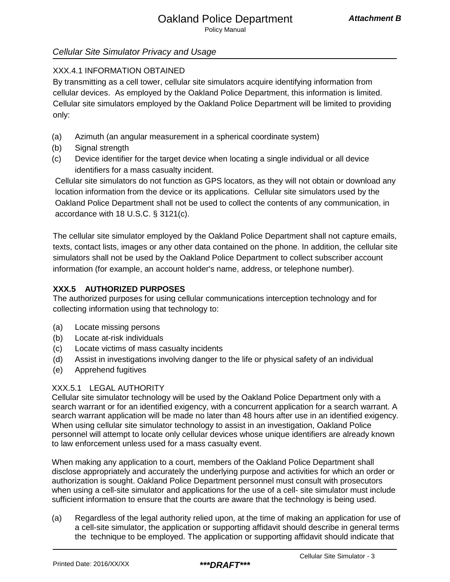# XXX.4.1 INFORMATION OBTAINED

By transmitting as a cell tower, cellular site simulators acquire identifying information from cellular devices. As employed by the Oakland Police Department, this information is limited. Cellular site simulators employed by the Oakland Police Department will be limited to providing only:

- (a) Azimuth (an angular measurement in a spherical coordinate system)
- (b) Signal strength
- (c) Device identifier for the target device when locating a single individual or all device identifiers for a mass casualty incident.

Cellular site simulators do not function as GPS locators, as they will not obtain or download any location information from the device or its applications. Cellular site simulators used by the Oakland Police Department shall not be used to collect the contents of any communication, in accordance with 18 U.S.C. § 3121(c).

The cellular site simulator employed by the Oakland Police Department shall not capture emails, texts, contact lists, images or any other data contained on the phone. In addition, the cellular site simulators shall not be used by the Oakland Police Department to collect subscriber account information (for example, an account holder's name, address, or telephone number).

# **XXX.5 AUTHORIZED PURPOSES**

The authorized purposes for using cellular communications interception technology and for collecting information using that technology to:

- (a) Locate missing persons
- (b) Locate at-risk individuals
- (c) Locate victims of mass casualty incidents
- (d) Assist in investigations involving danger to the life or physical safety of an individual
- (e) Apprehend fugitives

# XXX.5.1 LEGAL AUTHORITY

Cellular site simulator technology will be used by the Oakland Police Department only with a search warrant or for an identified exigency, with a concurrent application for a search warrant. A search warrant application will be made no later than 48 hours after use in an identified exigency. When using cellular site simulator technology to assist in an investigation, Oakland Police personnel will attempt to locate only cellular devices whose unique identifiers are already known to law enforcement unless used for a mass casualty event.

When making any application to a court, members of the Oakland Police Department shall disclose appropriately and accurately the underlying purpose and activities for which an order or authorization is sought. Oakland Police Department personnel must consult with prosecutors when using a cell-site simulator and applications for the use of a cell- site simulator must include sufficient information to ensure that the courts are aware that the technology is being used.

(a) Regardless of the legal authority relied upon, at the time of making an application for use of a cell-site simulator, the application or supporting affidavit should describe in general terms the technique to be employed. The application or supporting affidavit should indicate that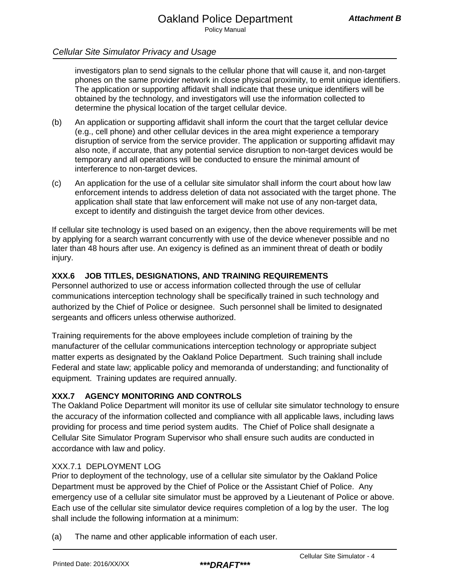investigators plan to send signals to the cellular phone that will cause it, and non-target phones on the same provider network in close physical proximity, to emit unique identifiers. The application or supporting affidavit shall indicate that these unique identifiers will be obtained by the technology, and investigators will use the information collected to determine the physical location of the target cellular device.

- (b) An application or supporting affidavit shall inform the court that the target cellular device (e.g., cell phone) and other cellular devices in the area might experience a temporary disruption of service from the service provider. The application or supporting affidavit may also note, if accurate, that any potential service disruption to non-target devices would be temporary and all operations will be conducted to ensure the minimal amount of interference to non-target devices.
- (c) An application for the use of a cellular site simulator shall inform the court about how law enforcement intends to address deletion of data not associated with the target phone. The application shall state that law enforcement will make not use of any non-target data, except to identify and distinguish the target device from other devices.

If cellular site technology is used based on an exigency, then the above requirements will be met by applying for a search warrant concurrently with use of the device whenever possible and no later than 48 hours after use. An exigency is defined as an imminent threat of death or bodily injury.

### **XXX.6 JOB TITLES, DESIGNATIONS, AND TRAINING REQUIREMENTS**

Personnel authorized to use or access information collected through the use of cellular communications interception technology shall be specifically trained in such technology and authorized by the Chief of Police or designee. Such personnel shall be limited to designated sergeants and officers unless otherwise authorized.

Training requirements for the above employees include completion of training by the manufacturer of the cellular communications interception technology or appropriate subject matter experts as designated by the Oakland Police Department. Such training shall include Federal and state law; applicable policy and memoranda of understanding; and functionality of equipment. Training updates are required annually.

### **XXX.7 AGENCY MONITORING AND CONTROLS**

The Oakland Police Department will monitor its use of cellular site simulator technology to ensure the accuracy of the information collected and compliance with all applicable laws, including laws providing for process and time period system audits. The Chief of Police shall designate a Cellular Site Simulator Program Supervisor who shall ensure such audits are conducted in accordance with law and policy.

### XXX.7.1 DEPLOYMENT LOG

Prior to deployment of the technology, use of a cellular site simulator by the Oakland Police Department must be approved by the Chief of Police or the Assistant Chief of Police. Any emergency use of a cellular site simulator must be approved by a Lieutenant of Police or above. Each use of the cellular site simulator device requires completion of a log by the user. The log shall include the following information at a minimum:

(a) The name and other applicable information of each user.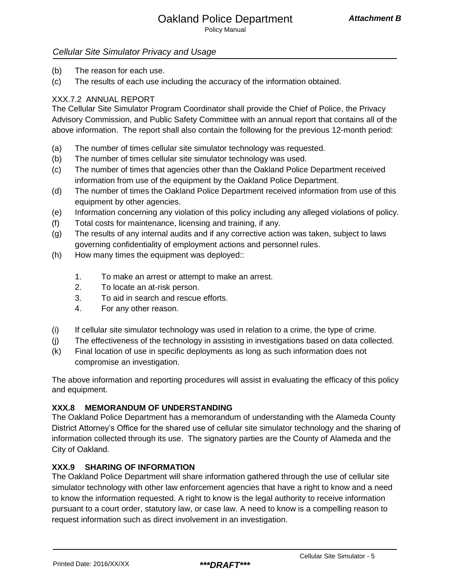- (b) The reason for each use.
- (c) The results of each use including the accuracy of the information obtained.

# XXX.7.2 ANNUAL REPORT

The Cellular Site Simulator Program Coordinator shall provide the Chief of Police, the Privacy Advisory Commission, and Public Safety Committee with an annual report that contains all of the above information. The report shall also contain the following for the previous 12-month period:

- (a) The number of times cellular site simulator technology was requested.
- (b) The number of times cellular site simulator technology was used.
- (c) The number of times that agencies other than the Oakland Police Department received information from use of the equipment by the Oakland Police Department.
- (d) The number of times the Oakland Police Department received information from use of this equipment by other agencies.
- (e) Information concerning any violation of this policy including any alleged violations of policy.
- (f) Total costs for maintenance, licensing and training, if any.
- (g) The results of any internal audits and if any corrective action was taken, subject to laws governing confidentiality of employment actions and personnel rules.
- (h) How many times the equipment was deployed::
	- 1. To make an arrest or attempt to make an arrest.
	- 2. To locate an at-risk person.
	- 3. To aid in search and rescue efforts.
	- 4. For any other reason.
- (i) If cellular site simulator technology was used in relation to a crime, the type of crime.
- (j) The effectiveness of the technology in assisting in investigations based on data collected.
- (k) Final location of use in specific deployments as long as such information does not compromise an investigation.

The above information and reporting procedures will assist in evaluating the efficacy of this policy and equipment.

### **XXX.8 MEMORANDUM OF UNDERSTANDING**

The Oakland Police Department has a memorandum of understanding with the Alameda County District Attorney's Office for the shared use of cellular site simulator technology and the sharing of information collected through its use. The signatory parties are the County of Alameda and the City of Oakland.

### **XXX.9 SHARING OF INFORMATION**

The Oakland Police Department will share information gathered through the use of cellular site simulator technology with other law enforcement agencies that have a right to know and a need to know the information requested. A right to know is the legal authority to receive information pursuant to a court order, statutory law, or case law. A need to know is a compelling reason to request information such as direct involvement in an investigation.

Printed Date: 2016/XX/XX *\*\*\*DRAFT\*\*\**